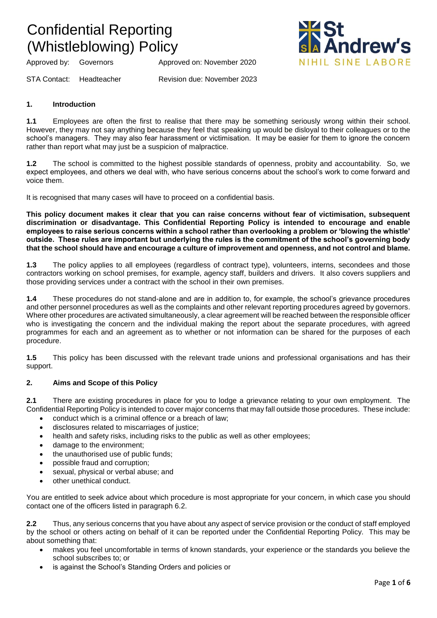Approved by: Governors Approved on: November 2020



STA Contact: Headteacher Revision due: November 2023

### **1. Introduction**

**1.1** Employees are often the first to realise that there may be something seriously wrong within their school. However, they may not say anything because they feel that speaking up would be disloyal to their colleagues or to the school's managers. They may also fear harassment or victimisation. It may be easier for them to ignore the concern rather than report what may just be a suspicion of malpractice.

**1.2** The school is committed to the highest possible standards of openness, probity and accountability. So, we expect employees, and others we deal with, who have serious concerns about the school's work to come forward and voice them.

It is recognised that many cases will have to proceed on a confidential basis.

**This policy document makes it clear that you can raise concerns without fear of victimisation, subsequent discrimination or disadvantage. This Confidential Reporting Policy is intended to encourage and enable employees to raise serious concerns within a school rather than overlooking a problem or 'blowing the whistle' outside. These rules are important but underlying the rules is the commitment of the school's governing body that the school should have and encourage a culture of improvement and openness, and not control and blame.**

**1.3** The policy applies to all employees (regardless of contract type), volunteers, interns, secondees and those contractors working on school premises, for example, agency staff, builders and drivers. It also covers suppliers and those providing services under a contract with the school in their own premises.

**1.4** These procedures do not stand-alone and are in addition to, for example, the school's grievance procedures and other personnel procedures as well as the complaints and other relevant reporting procedures agreed by governors. Where other procedures are activated simultaneously, a clear agreement will be reached between the responsible officer who is investigating the concern and the individual making the report about the separate procedures, with agreed programmes for each and an agreement as to whether or not information can be shared for the purposes of each procedure.

**1.5** This policy has been discussed with the relevant trade unions and professional organisations and has their support.

### **2. Aims and Scope of this Policy**

**2.1** There are existing procedures in place for you to lodge a grievance relating to your own employment. The Confidential Reporting Policy is intended to cover major concerns that may fall outside those procedures. These include:

- conduct which is a criminal offence or a breach of law;
- disclosures related to miscarriages of justice;
- health and safety risks, including risks to the public as well as other employees;
- damage to the environment;
- the unauthorised use of public funds;
- possible fraud and corruption;
- sexual, physical or verbal abuse; and
- other unethical conduct.

You are entitled to seek advice about which procedure is most appropriate for your concern, in which case you should contact one of the officers listed in paragraph 6.2.

**2.2** Thus, any serious concerns that you have about any aspect of service provision or the conduct of staff employed by the school or others acting on behalf of it can be reported under the Confidential Reporting Policy. This may be about something that:

- makes you feel uncomfortable in terms of known standards, your experience or the standards you believe the school subscribes to; or
- is against the School's Standing Orders and policies or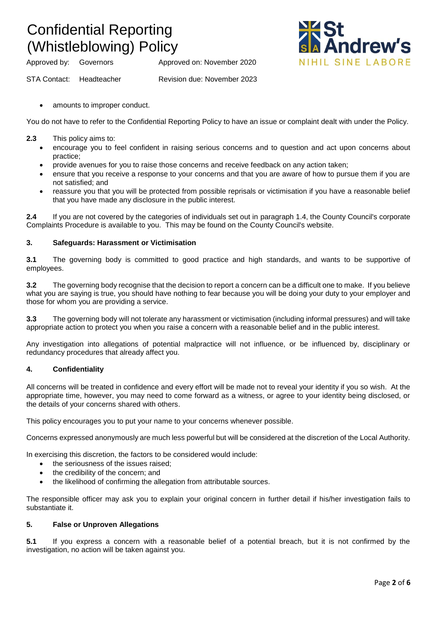Approved by: Governors Approved on: November 2020



STA Contact: Headteacher Revision due: November 2023

amounts to improper conduct.

You do not have to refer to the Confidential Reporting Policy to have an issue or complaint dealt with under the Policy.

- **2.3** This policy aims to:
	- encourage you to feel confident in raising serious concerns and to question and act upon concerns about practice;
	- provide avenues for you to raise those concerns and receive feedback on any action taken;
	- ensure that you receive a response to your concerns and that you are aware of how to pursue them if you are not satisfied; and
	- reassure you that you will be protected from possible reprisals or victimisation if you have a reasonable belief that you have made any disclosure in the public interest.

**2.4** If you are not covered by the categories of individuals set out in paragraph 1.4, the County Council's corporate Complaints Procedure is available to you. This may be found on the County Council's website.

### **3. Safeguards: Harassment or Victimisation**

**3.1** The governing body is committed to good practice and high standards, and wants to be supportive of employees.

**3.2** The governing body recognise that the decision to report a concern can be a difficult one to make. If you believe what you are saying is true, you should have nothing to fear because you will be doing your duty to your employer and those for whom you are providing a service.

**3.3** The governing body will not tolerate any harassment or victimisation (including informal pressures) and will take appropriate action to protect you when you raise a concern with a reasonable belief and in the public interest.

Any investigation into allegations of potential malpractice will not influence, or be influenced by, disciplinary or redundancy procedures that already affect you.

### **4. Confidentiality**

All concerns will be treated in confidence and every effort will be made not to reveal your identity if you so wish. At the appropriate time, however, you may need to come forward as a witness, or agree to your identity being disclosed, or the details of your concerns shared with others.

This policy encourages you to put your name to your concerns whenever possible.

Concerns expressed anonymously are much less powerful but will be considered at the discretion of the Local Authority.

In exercising this discretion, the factors to be considered would include:

- the seriousness of the issues raised;
- the credibility of the concern; and
- the likelihood of confirming the allegation from attributable sources.

The responsible officer may ask you to explain your original concern in further detail if his/her investigation fails to substantiate it.

### **5. False or Unproven Allegations**

**5.1** If you express a concern with a reasonable belief of a potential breach, but it is not confirmed by the investigation, no action will be taken against you.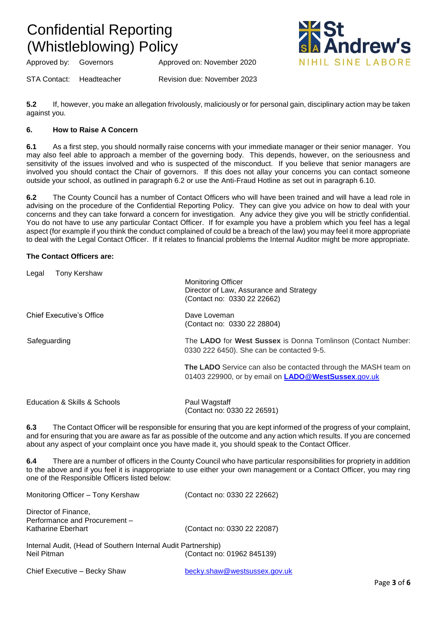Approved by: Governors Approved on: November 2020

STA Contact: Headteacher Revision due: November 2023

**5.2** If, however, you make an allegation frivolously, maliciously or for personal gain, disciplinary action may be taken against you.

### **6. How to Raise A Concern**

**6.1** As a first step, you should normally raise concerns with your immediate manager or their senior manager. You may also feel able to approach a member of the governing body. This depends, however, on the seriousness and sensitivity of the issues involved and who is suspected of the misconduct. If you believe that senior managers are involved you should contact the Chair of governors. If this does not allay your concerns you can contact someone outside your school, as outlined in paragraph 6.2 or use the Anti-Fraud Hotline as set out in paragraph 6.10.

**6.2** The County Council has a number of Contact Officers who will have been trained and will have a lead role in advising on the procedure of the Confidential Reporting Policy. They can give you advice on how to deal with your concerns and they can take forward a concern for investigation. Any advice they give you will be strictly confidential. You do not have to use any particular Contact Officer. If for example you have a problem which you feel has a legal aspect (for example if you think the conduct complained of could be a breach of the law) you may feel it more appropriate to deal with the Legal Contact Officer. If it relates to financial problems the Internal Auditor might be more appropriate.

### **The Contact Officers are:**

| <b>Tony Kershaw</b><br>Legal    |                                                                 |
|---------------------------------|-----------------------------------------------------------------|
|                                 | <b>Monitoring Officer</b>                                       |
|                                 | Director of Law, Assurance and Strategy                         |
|                                 | (Contact no: 0330 22 22662)                                     |
| <b>Chief Executive's Office</b> | Dave Loveman                                                    |
|                                 | (Contact no: 0330 22 28804)                                     |
| Safeguarding                    | The LADO for West Sussex is Donna Tomlinson (Contact Number:    |
|                                 | 0330 222 6450). She can be contacted 9-5.                       |
|                                 | The LADO Service can also be contacted through the MASH team on |
|                                 | 01403 229900, or by email on <b>LADO @WestSussex.gov.uk</b>     |
|                                 |                                                                 |
| Education & Skills & Schools    | Paul Wagstaff                                                   |
|                                 | (Contact no: 0330 22 26591)                                     |

**6.3** The Contact Officer will be responsible for ensuring that you are kept informed of the progress of your complaint, and for ensuring that you are aware as far as possible of the outcome and any action which results. If you are concerned about any aspect of your complaint once you have made it, you should speak to the Contact Officer.

**6.4** There are a number of officers in the County Council who have particular responsibilities for propriety in addition to the above and if you feel it is inappropriate to use either your own management or a Contact Officer, you may ring one of the Responsible Officers listed below:

| Monitoring Officer - Tony Kershaw                                            | (Contact no: 0330 22 22662) |
|------------------------------------------------------------------------------|-----------------------------|
| Director of Finance,<br>Performance and Procurement -<br>Katharine Eberhart  | (Contact no: 0330 22 22087) |
| Internal Audit, (Head of Southern Internal Audit Partnership)<br>Neil Pitman | (Contact no: 01962 845139)  |

Chief Executive – Becky Shaw [becky.shaw@westsussex.gov.uk](mailto:becky.shaw@westsussex.gov.uk)

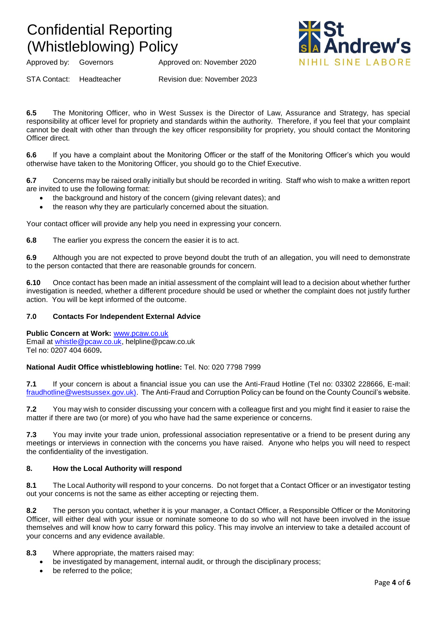Approved by: Governors Approved on: November 2020

STA Contact: Headteacher Revision due: November 2023

**6.5** The Monitoring Officer, who in West Sussex is the Director of Law, Assurance and Strategy, has special responsibility at officer level for propriety and standards within the authority. Therefore, if you feel that your complaint cannot be dealt with other than through the key officer responsibility for propriety, you should contact the Monitoring Officer direct.

**6.6** If you have a complaint about the Monitoring Officer or the staff of the Monitoring Officer's which you would otherwise have taken to the Monitoring Officer, you should go to the Chief Executive.

**6.7** Concerns may be raised orally initially but should be recorded in writing. Staff who wish to make a written report are invited to use the following format:

- the background and history of the concern (giving relevant dates); and
- the reason why they are particularly concerned about the situation.

Your contact officer will provide any help you need in expressing your concern.

**6.8** The earlier you express the concern the easier it is to act.

**6.9** Although you are not expected to prove beyond doubt the truth of an allegation, you will need to demonstrate to the person contacted that there are reasonable grounds for concern.

**6.10** Once contact has been made an initial assessment of the complaint will lead to a decision about whether further investigation is needed, whether a different procedure should be used or whether the complaint does not justify further action. You will be kept informed of the outcome.

### **7.0 Contacts For Independent External Advice**

**Public Concern at Work:** [www.pcaw.co.uk](http://www.pcaw.co.uk/) Email at [whistle@pcaw.co.uk,](mailto:whistle@pcaw.co.uk) helpline@pcaw.co.uk Tel no: 0207 404 6609**.**

#### **National Audit Office whistleblowing hotline:** Tel. No: 020 7798 7999

**7.1** If your concern is about a financial issue you can use the Anti-Fraud Hotline (Tel no: 03302 228666, E-mail: [fraudhotline@westsussex.gov.uk\).](mailto:fraudhotline@westsussex.gov.uk)) The Anti-Fraud and Corruption Policy can be found on the County Council's website.

**7.2** You may wish to consider discussing your concern with a colleague first and you might find it easier to raise the matter if there are two (or more) of you who have had the same experience or concerns.

**7.3** You may invite your trade union, professional association representative or a friend to be present during any meetings or interviews in connection with the concerns you have raised. Anyone who helps you will need to respect the confidentiality of the investigation.

### **8. How the Local Authority will respond**

**8.1** The Local Authority will respond to your concerns. Do not forget that a Contact Officer or an investigator testing out your concerns is not the same as either accepting or rejecting them.

**8.2** The person you contact, whether it is your manager, a Contact Officer, a Responsible Officer or the Monitoring Officer, will either deal with your issue or nominate someone to do so who will not have been involved in the issue themselves and will know how to carry forward this policy. This may involve an interview to take a detailed account of your concerns and any evidence available.

### **8.3** Where appropriate, the matters raised may:

- be investigated by management, internal audit, or through the disciplinary process;
- be referred to the police;

drew's

NIHIL SINF LARORE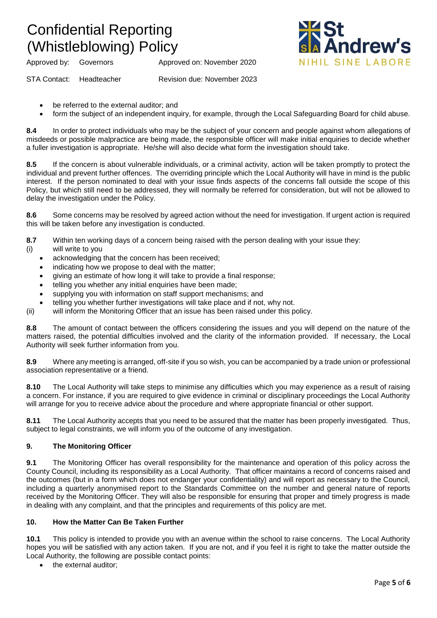Approved by: Governors Approved on: November 2020

STA Contact: Headteacher Revision due: November 2023

- be referred to the external auditor; and
- form the subject of an independent inquiry, for example, through the Local Safeguarding Board for child abuse.

**8.4** In order to protect individuals who may be the subject of your concern and people against whom allegations of misdeeds or possible malpractice are being made, the responsible officer will make initial enquiries to decide whether a fuller investigation is appropriate. He/she will also decide what form the investigation should take.

**8.5** If the concern is about vulnerable individuals, or a criminal activity, action will be taken promptly to protect the individual and prevent further offences. The overriding principle which the Local Authority will have in mind is the public interest. If the person nominated to deal with your issue finds aspects of the concerns fall outside the scope of this Policy, but which still need to be addressed, they will normally be referred for consideration, but will not be allowed to delay the investigation under the Policy.

**8.6** Some concerns may be resolved by agreed action without the need for investigation. If urgent action is required this will be taken before any investigation is conducted.

**8.7** Within ten working days of a concern being raised with the person dealing with your issue they:

- (i) will write to you
	- acknowledging that the concern has been received:
	- indicating how we propose to deal with the matter;
	- giving an estimate of how long it will take to provide a final response;
	- telling you whether any initial enquiries have been made;
	- supplying you with information on staff support mechanisms; and
	- telling you whether further investigations will take place and if not, why not.
- (ii) will inform the Monitoring Officer that an issue has been raised under this policy.

**8.8** The amount of contact between the officers considering the issues and you will depend on the nature of the matters raised, the potential difficulties involved and the clarity of the information provided. If necessary, the Local Authority will seek further information from you.

**8.9** Where any meeting is arranged, off-site if you so wish, you can be accompanied by a trade union or professional association representative or a friend.

**8.10** The Local Authority will take steps to minimise any difficulties which you may experience as a result of raising a concern. For instance, if you are required to give evidence in criminal or disciplinary proceedings the Local Authority will arrange for you to receive advice about the procedure and where appropriate financial or other support.

**8.11** The Local Authority accepts that you need to be assured that the matter has been properly investigated. Thus, subject to legal constraints, we will inform you of the outcome of any investigation.

### **9. The Monitoring Officer**

**9.1** The Monitoring Officer has overall responsibility for the maintenance and operation of this policy across the County Council, including its responsibility as a Local Authority. That officer maintains a record of concerns raised and the outcomes (but in a form which does not endanger your confidentiality) and will report as necessary to the Council, including a quarterly anonymised report to the Standards Committee on the number and general nature of reports received by the Monitoring Officer. They will also be responsible for ensuring that proper and timely progress is made in dealing with any complaint, and that the principles and requirements of this policy are met.

### **10. How the Matter Can Be Taken Further**

**10.1** This policy is intended to provide you with an avenue within the school to raise concerns. The Local Authority hopes you will be satisfied with any action taken. If you are not, and if you feel it is right to take the matter outside the Local Authority, the following are possible contact points:

the external auditor: